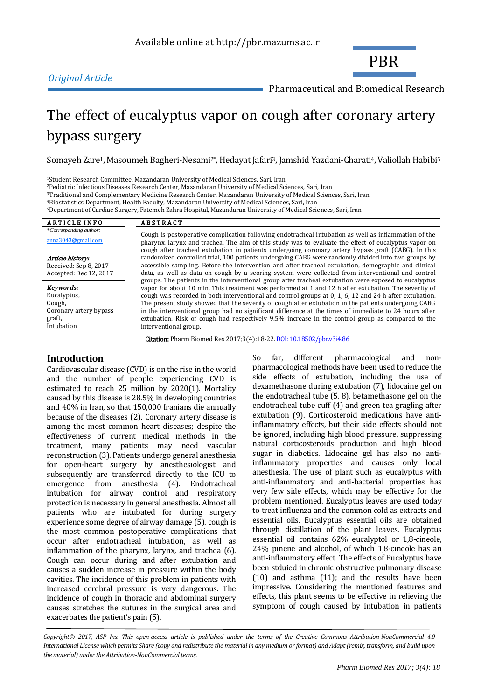# *Original Article*

PBR

Pharmaceutical and Biomedical Research

# The effect of eucalyptus vapor on cough after coronary artery bypass surgery

Somayeh Zare1, Masoumeh Bagheri-Nesami2\*, Hedayat Jafari3, Jamshid Yazdani-Charati4, Valiollah Habibi<sup>5</sup>

<sup>1</sup>Student Research Committee, Mazandaran University of Medical Sciences, Sari, Iran

<sup>2</sup>Pediatric Infectious Diseases Research Center, Mazandaran University of Medical Sciences, Sari, Iran

<sup>3</sup>Traditional and Complementary Medicine Research Center, Mazandaran University of Medical Sciences, Sari, Iran

<sup>4</sup>Biostatistics Department, Health Faculty, Mazandaran University of Medical Sciences, Sari, Iran

<sup>5</sup>Department of Cardiac Surgery, Fatemeh Zahra Hospital, Mazandaran University of Medical Sciences, Sari, Iran

| <b>ARTICLE INFO</b>                                                                  | <b>ABSTRACT</b>                                                                                                                                                                                                                                                                                                                                                                                                                                                                                                                                              |  |  |  |  |
|--------------------------------------------------------------------------------------|--------------------------------------------------------------------------------------------------------------------------------------------------------------------------------------------------------------------------------------------------------------------------------------------------------------------------------------------------------------------------------------------------------------------------------------------------------------------------------------------------------------------------------------------------------------|--|--|--|--|
| *Corresponding author:<br>anna3043@gmail.com                                         | Cough is postoperative complication following endotracheal intubation as well as inflammation of the<br>pharynx, larynx and trachea. The aim of this study was to evaluate the effect of eucalyptus vapor on<br>cough after tracheal extubation in patients undergoing coronary artery bypass graft (CABG). In this                                                                                                                                                                                                                                          |  |  |  |  |
| Article history:<br>Received: Sep 8, 2017<br>Accepted: Dec 12, 2017                  | randomized controlled trial, 100 patients undergoing CABG were randomly divided into two groups by<br>accessible sampling. Before the intervention and after tracheal extubation, demographic and clinical<br>data, as well as data on cough by a scoring system were collected from interventional and control<br>groups. The patients in the interventional group after tracheal extubation were exposed to eucalyptus                                                                                                                                     |  |  |  |  |
| Kevwords:<br>Eucalyptus,<br>Cough,<br>Coronary artery bypass<br>graft,<br>Intubation | vapor for about 10 min. This treatment was performed at 1 and 12 h after extubation. The severity of<br>cough was recorded in both interventional and control groups at 0, 1, 6, 12 and 24 h after extubation.<br>The present study showed that the severity of cough after extubation in the patients undergoing CABG<br>in the interventional group had no significant difference at the times of immediate to 24 hours after<br>extubation. Risk of cough had respectively 9.5% increase in the control group as compared to the<br>interventional group. |  |  |  |  |

Citation: Pharm Biomed Res 2017;3(4):18-22. [DOI: 10.18502/pbr.v3i4.86](http://pbr.mazums.ac.ir/article-1-185-en.html)

# **Introduction**

Cardiovascular disease (CVD) is on the rise in the world and the number of people experiencing CVD is estimated to reach 25 million by 2020(1). Mortality caused by this disease is 28.5% in developing countries and 40% in Iran, so that 150,000 Iranians die annually because of the diseases (2). Coronary artery disease is among the most common heart diseases; despite the effectiveness of current medical methods in the treatment, many patients may need vascular reconstruction (3). Patients undergo general anesthesia for open-heart surgery by anesthesiologist and subsequently are transferred directly to the ICU to emergence from anesthesia (4). Endotracheal intubation for airway control and respiratory protection is necessary in general anesthesia. Almost all patients who are intubated for during surgery experience some degree of airway damage (5). cough is the most common postoperative complications that occur after endotracheal intubation, as well as inflammation of the pharynx, larynx, and trachea (6). Cough can occur during and after extubation and causes a sudden increase in pressure within the body cavities. The incidence of this problem in patients with increased cerebral pressure is very dangerous. The incidence of cough in thoracic and abdominal surgery causes stretches the sutures in the surgical area and exacerbates the patient's pain (5).

So far, different pharmacological and nonpharmacological methods have been used to reduce the side effects of extubation, including the use of dexamethasone during extubation (7), lidocaine gel on the endotracheal tube (5, 8), betamethasone gel on the endotracheal tube cuff (4) and green tea gragling after extubation (9). Corticosteroid medications have antiinflammatory effects, but their side effects should not be ignored, including high blood pressure, suppressing natural corticosteroids production and high blood sugar in diabetics. Lidocaine gel has also no antiinflammatory properties and causes only local anesthesia. The use of plant such as eucalyptus with anti-inflammatory and anti-bacterial properties has very few side effects, which may be effective for the problem mentioned. Eucalyptus leaves are used today to treat influenza and the common cold as extracts and essential oils. Eucalyptus essential oils are obtained through distillation of the plant leaves. Eucalyptus essential oil contains 62% eucalyptol or 1,8-cineole, 24% pinene and alcohol, of which 1,8-cineole has an anti-inflammatory effect. The effects of Eucalyptus have been stduied in chronic obstructive pulmonary disease (10) and asthma (11); and the results have been impressive. Considering the mentioned features and effects, this plant seems to be effective in relieving the symptom of cough caused by intubation in patients

*Copyright© 2017, ASP Ins. This open-access article is published under the terms of the Creative Commons Attribution-NonCommercial 4.0 International License which permits Share (copy and redistribute the material in any medium or format) and Adapt (remix, transform, and build upon the material) under the Attribution-NonCommercial terms.*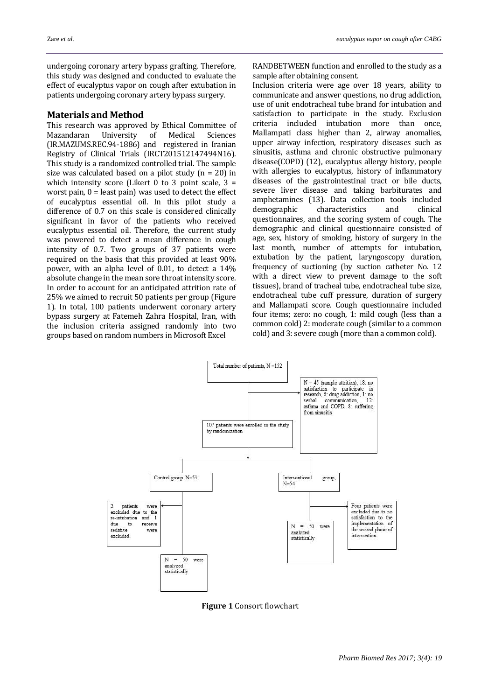undergoing coronary artery bypass grafting. Therefore, this study was designed and conducted to evaluate the effect of eucalyptus vapor on cough after extubation in patients undergoing coronary artery bypass surgery.

# **Materials and Method**

This research was approved by Ethical Committee of Mazandaran University of Medical Sciences (IR.MAZUMS.REC.94-1886) and registered in Iranian Registry of Clinical Trials (IRCT201512147494N16). This study is a randomized controlled trial. The sample size was calculated based on a pilot study ( $n = 20$ ) in which intensity score (Likert 0 to 3 point scale,  $3 =$ worst pain,  $0 =$  least pain) was used to detect the effect of eucalyptus essential oil. In this pilot study a difference of 0.7 on this scale is considered clinically significant in favor of the patients who received eucalyptus essential oil. Therefore, the current study was powered to detect a mean difference in cough intensity of 0.7. Two groups of 37 patients were required on the basis that this provided at least 90% power, with an alpha level of 0.01, to detect a 14% absolute change in the mean sore throat intensity score. In order to account for an anticipated attrition rate of 25% we aimed to recruit 50 patients per group (Figure 1). In total, 100 patients underwent coronary artery bypass surgery at Fatemeh Zahra Hospital, Iran, with the inclusion criteria assigned randomly into two groups based on random numbers in Microsoft Excel

RANDBETWEEN function and enrolled to the study as a sample after obtaining consent.

Inclusion criteria were age over 18 years, ability to communicate and answer questions, no drug addiction, use of unit endotracheal tube brand for intubation and satisfaction to participate in the study. Exclusion criteria included intubation more than once, Mallampati class higher than 2, airway anomalies, upper airway infection, respiratory diseases such as sinusitis, asthma and chronic obstructive pulmonary disease(COPD) (12), eucalyptus allergy history, people with allergies to eucalyptus, history of inflammatory diseases of the gastrointestinal tract or bile ducts, severe liver disease and taking barbiturates and amphetamines (13). Data collection tools included<br>demographic characteristics and clinical demographic characteristics and clinical questionnaires, and the scoring system of cough. The demographic and clinical questionnaire consisted of age, sex, history of smoking, history of surgery in the last month, number of attempts for intubation, extubation by the patient, laryngoscopy duration, frequency of suctioning (by suction catheter No. 12 with a direct view to prevent damage to the soft tissues), brand of tracheal tube, endotracheal tube size, endotracheal tube cuff pressure, duration of surgery and Mallampati score. Cough questionnaire included four items; zero: no cough, 1: mild cough (less than a common cold) 2: moderate cough (similar to a common cold) and 3: severe cough (more than a common cold).



**Figure 1** Consort flowchart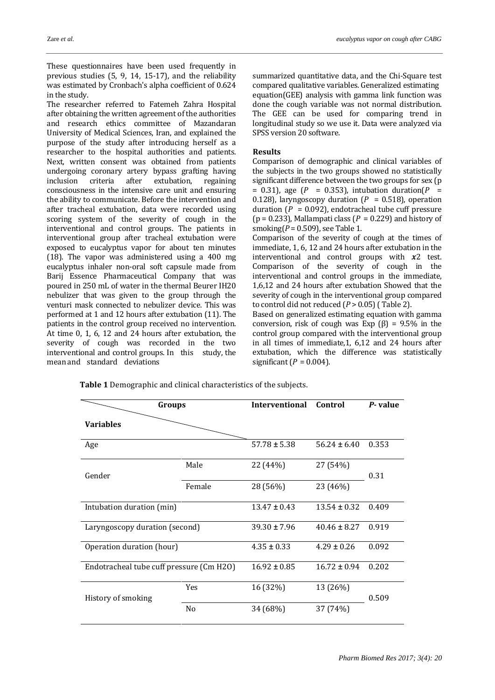These questionnaires have been used frequently in previous studies (5, 9, 14, 15-17), and the reliability was estimated by Cronbach's alpha coefficient of 0.624 in the study.

The researcher referred to Fatemeh Zahra Hospital after obtaining the written agreement of the authorities and research ethics committee of Mazandaran University of Medical Sciences, Iran, and explained the purpose of the study after introducing herself as a researcher to the hospital authorities and patients. Next, written consent was obtained from patients undergoing coronary artery bypass grafting having<br>inclusion criteria after extubation, regaining inclusion criteria after extubation, regaining consciousness in the intensive care unit and ensuring the ability to communicate. Before the intervention and after tracheal extubation, data were recorded using scoring system of the severity of cough in the interventional and control groups. The patients in interventional group after tracheal extubation were exposed to eucalyptus vapor for about ten minutes (18). The vapor was administered using a 400 mg eucalyptus inhaler non-oral soft capsule made from Barij Essence Pharmaceutical Company that was poured in 250 mL of water in the thermal Beurer IH20 nebulizer that was given to the group through the venturi mask connected to nebulizer device. This was performed at 1 and 12 hours after extubation (11). The patients in the control group received no intervention. At time 0, 1, 6, 12 and 24 hours after extubation, the severity of cough was recorded in the two interventional and control groups. In this study, the mean and standard deviations

summarized quantitative data, and the Chi-Square test compared qualitative variables. Generalized estimating equation(GEE) analysis with gamma link function was done the cough variable was not normal distribution. The GEE can be used for comparing trend in longitudinal study so we use it. Data were analyzed via SPSS version 20 software.

## **Results**

Comparison of demographic and clinical variables of the subjects in the two groups showed no statistically significant difference between the two groups for sex (p  $= 0.31$ ), age ( $P = 0.353$ ), intubation duration( $P =$ 0.128), laryngoscopy duration  $(P = 0.518)$ , operation duration  $(P = 0.092)$ , endotracheal tube cuff pressure ( $p = 0.233$ ), Mallampati class ( $P = 0.229$ ) and history of smoking( $P = 0.509$ ), see Table 1.

Comparison of the severity of cough at the times of immediate, 1, 6, 12 and 24 hours after extubation in the interventional and control groups with  $x^2$  test. Comparison of the severity of cough in the interventional and control groups in the immediate, 1,6,12 and 24 hours after extubation Showed that the severity of cough in the interventional group compared to control did not reduced  $(P > 0.05)$  (Table 2).

Based on generalized estimating equation with gamma conversion, risk of cough was Exp (β) = 9.5% in the control group compared with the interventional group in all times of immediate,1, 6,12 and 24 hours after extubation, which the difference was statistically significant  $(P = 0.004)$ .

 **Table 1** Demographic and clinical characteristics of the subjects.

| Groups                                   | <b>Interventional</b> | Control          | P-value          |       |  |
|------------------------------------------|-----------------------|------------------|------------------|-------|--|
| <b>Variables</b>                         |                       |                  |                  |       |  |
| Age                                      |                       | $57.78 \pm 5.38$ | $56.24 \pm 6.40$ | 0.353 |  |
| Gender                                   | Male                  | 22 (44%)         | 27 (54%)         | 0.31  |  |
|                                          | Female                | 28 (56%)         | 23 (46%)         |       |  |
| Intubation duration (min)                |                       | $13.47 \pm 0.43$ | $13.54 \pm 0.32$ | 0.409 |  |
| Laryngoscopy duration (second)           | $39.30 \pm 7.96$      | $40.46 \pm 8.27$ | 0.919            |       |  |
| Operation duration (hour)                | $4.35 \pm 0.33$       | $4.29 \pm 0.26$  | 0.092            |       |  |
| Endotracheal tube cuff pressure (Cm H2O) |                       | $16.92 \pm 0.85$ | $16.72 \pm 0.94$ | 0.202 |  |
| History of smoking                       | Yes                   | 16 (32%)         | 13 (26%)         | 0.509 |  |
|                                          | N <sub>0</sub>        | 34 (68%)         | 37 (74%)         |       |  |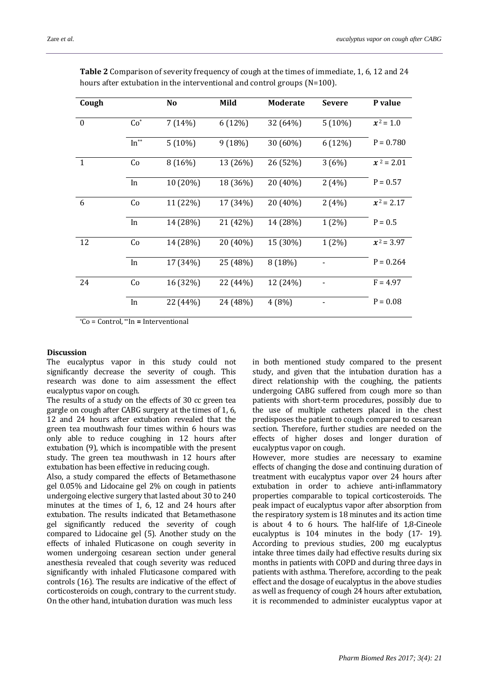| Cough            |           | <b>No</b> | Mild     | <b>Moderate</b> | <b>Severe</b> | P value      |
|------------------|-----------|-----------|----------|-----------------|---------------|--------------|
| $\boldsymbol{0}$ | $Co^*$    | 7(14%)    | 6(12%)   | 32 (64%)        | $5(10\%)$     | $x^2 = 1.0$  |
|                  | $In^{**}$ | $5(10\%)$ | 9(18%)   | 30 (60%)        | 6(12%)        | $P = 0.780$  |
| $\mathbf{1}$     | Co        | 8(16%)    | 13 (26%) | 26 (52%)        | 3(6%)         | $x^2 = 2.01$ |
|                  | In        | 10 (20%)  | 18 (36%) | 20 (40%)        | 2(4%)         | $P = 0.57$   |
| 6                | Co        | 11 (22%)  | 17 (34%) | 20 (40%)        | 2(4%)         | $x^2 = 2.17$ |
|                  | In        | 14 (28%)  | 21 (42%) | 14 (28%)        | $1(2\%)$      | $P = 0.5$    |
| 12               | Co        | 14 (28%)  | 20 (40%) | 15 (30%)        | $1(2\%)$      | $x^2 = 3.97$ |
|                  | In        | 17 (34%)  | 25 (48%) | 8(18%)          |               | $P = 0.264$  |
| 24               | Co        | 16 (32%)  | 22 (44%) | 12 (24%)        |               | $F = 4.97$   |
|                  | In        | 22 (44%)  | 24 (48%) | 4(8%)           |               | $P = 0.08$   |

**Table 2** Comparison of severity frequency of cough at the times of immediate, 1, 6, 12 and 24 hours after extubation in the interventional and control groups (N=100).

\*Co = Control, \*\*In **=** Interventional

#### **Discussion**

The eucalyptus vapor in this study could not significantly decrease the severity of cough. This research was done to aim assessment the effect eucalyptus vapor on cough.

The results of a study on the effects of 30 cc green tea gargle on cough after CABG surgery at the times of 1, 6, 12 and 24 hours after extubation revealed that the green tea mouthwash four times within 6 hours was only able to reduce coughing in 12 hours after extubation (9), which is incompatible with the present study. The green tea mouthwash in 12 hours after extubation has been effective in reducing cough.

Also, a study compared the effects of Betamethasone gel 0.05% and Lidocaine gel 2% on cough in patients undergoing elective surgery that lasted about 30 to 240 minutes at the times of 1, 6, 12 and 24 hours after extubation. The results indicated that Betamethasone gel significantly reduced the severity of cough compared to Lidocaine gel (5). Another study on the effects of inhaled Fluticasone on cough severity in women undergoing cesarean section under general anesthesia revealed that cough severity was reduced significantly with inhaled Fluticasone compared with controls (16). The results are indicative of the effect of corticosteroids on cough, contrary to the current study. On the other hand, intubation duration was much less

in both mentioned study compared to the present study, and given that the intubation duration has a direct relationship with the coughing, the patients undergoing CABG suffered from cough more so than patients with short-term procedures, possibly due to the use of multiple catheters placed in the chest predisposes the patient to cough compared to cesarean section. Therefore, further studies are needed on the effects of higher doses and longer duration of eucalyptus vapor on cough.

However, more studies are necessary to examine effects of changing the dose and continuing duration of treatment with eucalyptus vapor over 24 hours after extubation in order to achieve anti-inflammatory properties comparable to topical corticosteroids. The peak impact of eucalyptus vapor after absorption from the respiratory system is 18 minutes and its action time is about 4 to 6 hours. The half-life of 1,8-Cineole eucalyptus is 104 minutes in the body (17- 19). According to previous studies, 200 mg eucalyptus intake three times daily had effective results during six months in patients with COPD and during three days in patients with asthma. Therefore, according to the peak effect and the dosage of eucalyptus in the above studies as well as frequency of cough 24 hours after extubation, it is recommended to administer eucalyptus vapor at